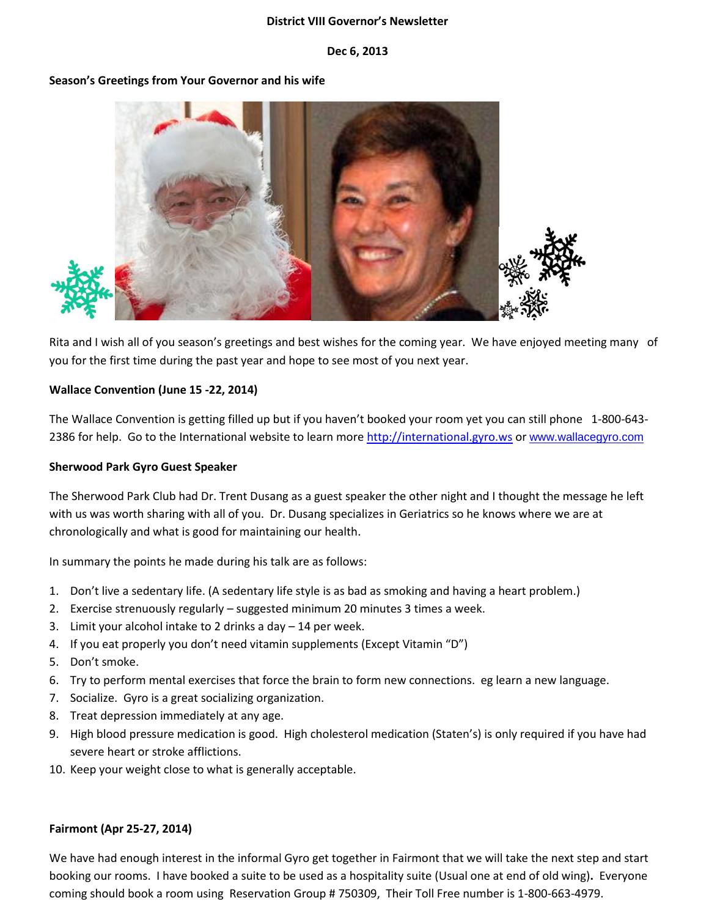#### **District VIII Governor's Newsletter**

#### **Dec 6, 2013**

## **Season's Greetings from Your Governor and his wife**



Rita and I wish all of you season's greetings and best wishes for the coming year. We have enjoyed meeting many of you for the first time during the past year and hope to see most of you next year.

## **Wallace Convention (June 15 -22, 2014)**

The Wallace Convention is getting filled up but if you haven't booked your room yet you can still phone 1-800-643 2386 for help. Go to the International website to learn mor[e http://international.gyro.ws](http://international.gyro.ws/) or [www.wallacegyro.com](http://www.wallacegyro.com/)

#### **Sherwood Park Gyro Guest Speaker**

The Sherwood Park Club had Dr. Trent Dusang as a guest speaker the other night and I thought the message he left with us was worth sharing with all of you. Dr. Dusang specializes in Geriatrics so he knows where we are at chronologically and what is good for maintaining our health.

In summary the points he made during his talk are as follows:

- 1. Don't live a sedentary life. (A sedentary life style is as bad as smoking and having a heart problem.)
- 2. Exercise strenuously regularly suggested minimum 20 minutes 3 times a week.
- 3. Limit your alcohol intake to 2 drinks a day 14 per week.
- 4. If you eat properly you don't need vitamin supplements (Except Vitamin "D")
- 5. Don't smoke.
- 6. Try to perform mental exercises that force the brain to form new connections. eg learn a new language.
- 7. Socialize. Gyro is a great socializing organization.
- 8. Treat depression immediately at any age.
- 9. High blood pressure medication is good. High cholesterol medication (Staten's) is only required if you have had severe heart or stroke afflictions.
- 10. Keep your weight close to what is generally acceptable.

## **Fairmont (Apr 25-27, 2014)**

We have had enough interest in the informal Gyro get together in Fairmont that we will take the next step and start booking our rooms. I have booked a suite to be used as a hospitality suite (Usual one at end of old wing)**.** Everyone coming should book a room using Reservation Group # 750309, Their Toll Free number is 1-800-663-4979.